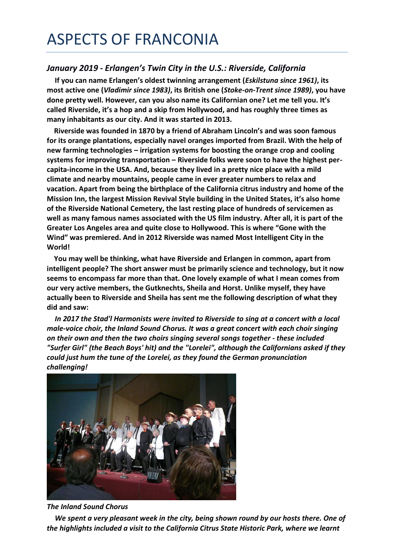## *January 2019 - Erlangen's Twin City in the U.S.: Riverside, California*

**If you can name Erlangen's oldest twinning arrangement (***Eskilstuna since 1961)***, its most active one (***Vladimir since 1983)***, its British one (***Stoke-on-Trent since 1989)***, you have done pretty well. However, can you also name its Californian one? Let me tell you. It's called Riverside, it's a hop and a skip from Hollywood, and has roughly three times as many inhabitants as our city. And it was started in 2013.**

**Riverside was founded in 1870 by a friend of Abraham Lincoln's and was soon famous for its orange plantations, especially navel oranges imported from Brazil. With the help of new farming technologies – irrigation systems for boosting the orange crop and cooling systems for improving transportation – Riverside folks were soon to have the highest percapita-income in the USA. And, because they lived in a pretty nice place with a mild climate and nearby mountains, people came in ever greater numbers to relax and vacation. Apart from being the birthplace of the California citrus industry and home of the Mission Inn, the largest Mission Revival Style building in the United States, it's also home of the Riverside National Cemetery, the last resting place of hundreds of servicemen as well as many famous names associated with the US film industry. After all, it is part of the Greater Los Angeles area and quite close to Hollywood. This is where "Gone with the Wind" was premiered. And in 2012 Riverside was named Most Intelligent City in the World!** 

**You may well be thinking, what have Riverside and Erlangen in common, apart from intelligent people? The short answer must be primarily science and technology, but it now seems to encompass far more than that. One lovely example of what I mean comes from our very active members, the Gutknechts, Sheila and Horst. Unlike myself, they have actually been to Riverside and Sheila has sent me the following description of what they did and saw:**

*In 2017 the Stad'l Harmonists were invited to Riverside to sing at a concert with a local male-voice choir, the Inland Sound Chorus. It was a great concert with each choir singing on their own and then the two choirs singing several songs together - these included "Surfer Girl" (the Beach Boys' hit) and the "Lorelei", although the Californians asked if they could just hum the tune of the Lorelei, as they found the German pronunciation challenging!*



*The Inland Sound Chorus*

*We spent a very pleasant week in the city, being shown round by our hosts there. One of the highlights included a visit to the California Citrus State Historic Park, where we learnt*